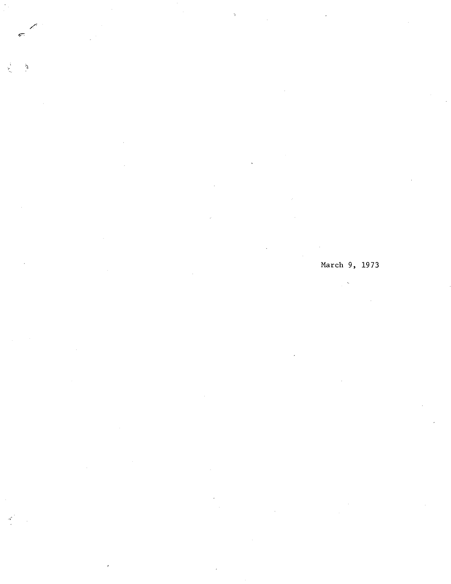$\delta$ 

 $\overline{a}$ 

# March 9, 1973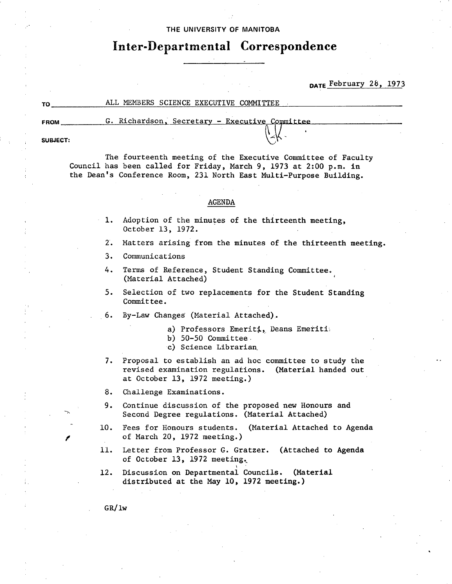### THE UNIVERSITY **OF MANITOBA**

## **Inter-Departmental Correspondence**

**DATE February 28, 1973** 

### **TO** ALL MEMBERS SCIENCE EXECUTIVE COMMITTEE

G. Richardson, Secretary - Executive Committee **FROM** 

**SUBJECT:** 

*The* fourteenth meeting of the Executive Committee of Faculty Council has been called for Friday, March 9, 1973 at 2:00 p.m. in the Dean's Conference Room, 231 North East Multi-Purpose Building.

#### AGENDA

- 1. Adoption of the minutes of the thirteenth meeting, October 13, 1972.
- 2. Matters arising from the minutes of the thirteenth meeting.
- 3. Communications
- 4. Terms of Reference, Student Standing Committee, (Material Attached)
- 5. Selection of two replacements for the Student Standing Committee.
- 6. By-Law Changes (Material Attached).
	- a) Professors Emeriti, Deans Emeriti
	- b)  $50-50$  Committee.
	- c) Science Librarian
- 7. Proposal to establish an ad hoc committee to study the revised examination regulations. (Material handed out at October 13, 1972 meeting.)

8. Challenge Examinations,

- 9. Continue discussion of the proposed new Honours and Second Degree regulations. (Material Attached)
- 10. Fees for Honours students. (Material Attached to Agenda of March 20, 1972 meeting.)
- 11. Letter from Professor G. Gratzer. (Attached to Agenda of October 13, 1972 meeting..
- 12. Discussion on Departmental Councils. (Material distributed at the May 10, 1972 **meeting.)**

GR/lw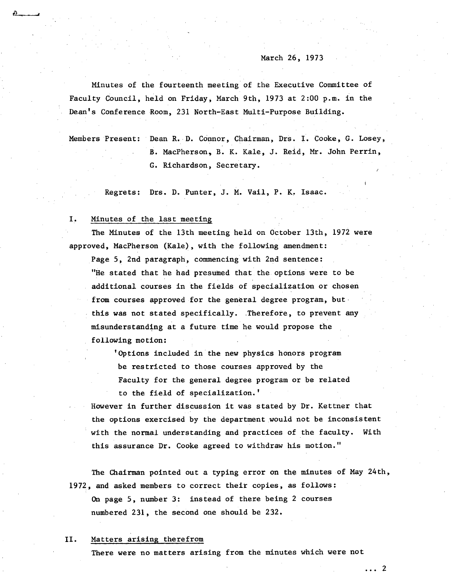### March 26, 1973

Minutes of the fourteenth meeting of the Executive Committee of Faculty Council, held on Friday, March 9th, 1973 at 2:00 p.m. in the Dean's Conference Room, 231 North-East Multi-Purpose Building.

Members Present: Dean R. D. Connor, Chairman, Drs. I. Cooke, G. Losey, B. MacPherson, B. K. Kale, J. Reid, Mr. John Perrin, G. Richardson, Secretary.

Regrets: Drs. D. Punter, J. M. Vail, P. K. Isaac.

#### I. Minutes of the last meeting

The Minutes of the 13th meeting held on October 13th, 1972 were approved, MacPherson (Kale), with the following amendment:

Page 5, 2nd paragraph, commencing with 2nd sentence: "He stated that he had presumed that the options were to be additional courses in the fields of specialization or chosen from courses approved for the general degree program, but this was not stated specifically. Therefore, to prevent any misunderstanding at a future time he would propose the following motion:

'Options included in the new physics honors program be restricted to those courses approved by the Faculty for the general degree program or be related to the field of specialization.'

However in further discussion it was stated by Dr. Kettner that the options exercised by the department would not be inconsistent with the normal understanding and practices of the faculty. With this assurance Dr. Cooke agreed to withdraw his motion."

The Chairman pointed out a typing error on the minutes of May 24th, 1972, and asked members to correct their copies, as follows: On page 5, number 3: instead of there being 2 courses

numbered 231, the second one should be 232.

#### II. Matters arising therefrom

There were no matters arising from the minutes which were not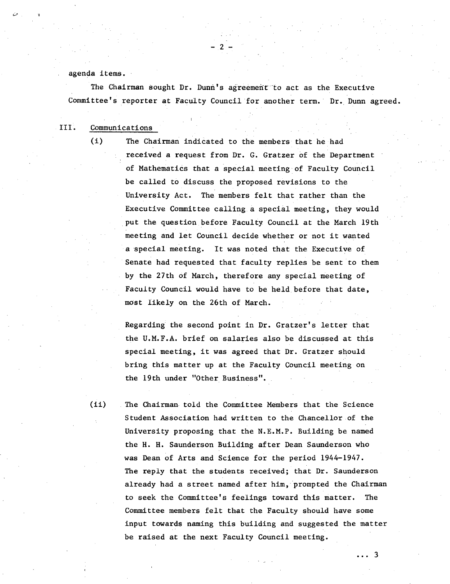### agenda items.

The Chairman sought Dr. Dunn's agreement to act as the Executive Committee's reporter at Faculty Council for another term. Dr. Dunn agreed.

 $-2-$ 

### III. Communications

(1) The Chairman indicated to the members that he had received a request from Dr. C. Gratzer of the Department of Mathematics that a special meeting'of Faculty Council be called to discuss the proposed revisions to the University Act. The members felt that rather than the Executive Committee calling, a special meeting, they would put the question before Faculty Council at the March 19th meeting and let Council decide whether or not it wanted a special meeting. It was noted that the Executive of Senate had requested that faculty replies be sent to them by the 27th of March, therefore any special meeting of Faculty Council would have to be held, before that date, most likely on the 26th of March.

> Regarding the second point in Dr. Gratzer's letter that the U.M.F.A. brief on salaries also be discussed at this special meeting, it was agreed that Dr. Gratzer should bring this matter up at the Faculty Council meeting on the 19th under "Other Business".

(ii) The Chairman. told the Committee Members that the Science Student Association had written to the Chancellor of the University proposing that the N.E.M.P. Building be named the H. H. Saunderson Building after Dean Saunderson who was Dean of Arts and Science for the period 1944-1947. The reply that the students received; that Dr. Saunderson already had a street named after him, prompted the Chairman to seek the Committee's feelings toward this matter. The Committee members felt that the Faculty should have some input towards naming this building and suggested the matter be raised at the next Faculty Council meeting.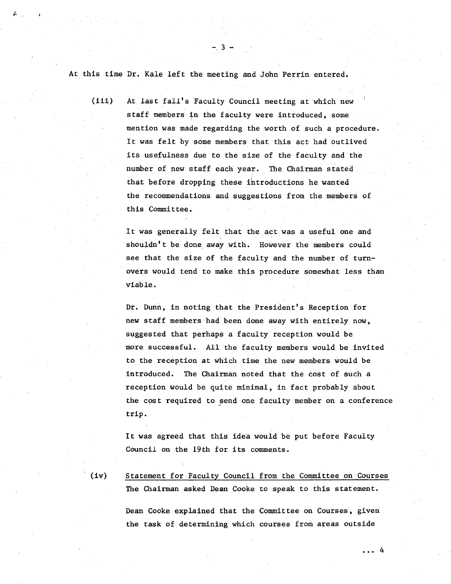At this time Dr. Kale left the meeting and John Perrin entered.

-3

(iii) At last fall's Faculty Council meeting at which new staff members in the faculty were introduced, some mention was made regarding the worth of such a procedure. It was felt by some members that this act had outlived its usefulness due to the size of the faculty and the number of new staff each year. The Chairman stated that before dropping these introductions he wanted the recommendations and suggestions from the members of this Committee.

> It was generally felt that the act was a useful one and shouldn't be done away with. However the members could see that the size of the faculty and the number of turnovers would tend to make this procedure somewhat less than viable.

Dr. Dunn, in noting that the President's Reception for new staff members had been done away with entirely now, suggested that perhaps a faculty reception would be more successful. All the faculty members would be invited to the reception at which time the new members would be introduced. The Chairman noted that the cost of such a reception would be quite minimal, in fact probably about the cost required to send one faculty member on a conference trip.

It was agreed that this idea would be put before Faculty Council on the 19th for its comments.

(iv) Statement for Faculty Council from the Committee on Courses The Chairman asked Dean Cooke to speak to this statement.

> Dean Cooke explained that the Committee on Courses, given the task of determining which courses from areas outside

> > $\ldots$  4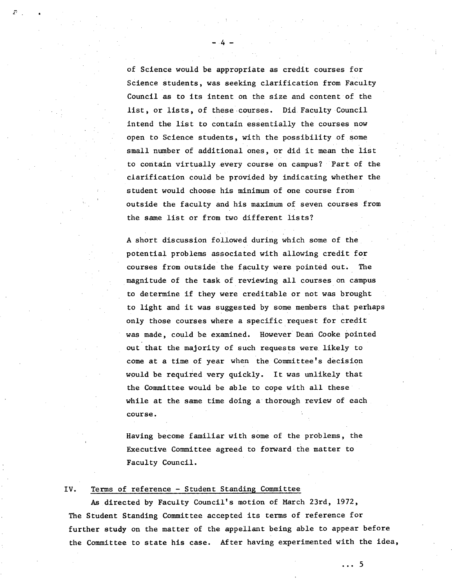of Science would be appropriate as credit courses for Science students, was seeking clarification from Faculty Council as to its intent on the size and content of the list, or lists, of these courses. Did.Faculty Council intend the list to contain essentially the courses now open to Science students, with the possibility of some small number of additional ones, or did it mean the list to contain virtually every course on campus? Part of the clarification could be provided by indicating whether the student would choose his minimum of one course from outside the faculty and his maximum of seven courses from the same list or from two different lists?

 $-4-$ 

A short discussion followed during which some of the potential problems associated with allowing credit for courses from outside the faculty were pointed out. The magnitude of the task of reviewing all courses on campus to determine if they were creditable or not was brought to light and it was suggested by some members that perhaps only those courses where a specific request for credit was made, could be examined. However Dean Cooke pointed out that the majority of such requests were, likely to come at a time of year when the Committee's decision would be required very quickly. It was unlikely that the Committee would be able to cope with all these while at the same time doing a' thorough review of each course.

Having become familiar with some of the problems, the Executive Committee agreed to forward the matter to Faculty Council.

### IV. Terms of reference - Student Standing Committee

As directed by Faculty Council's motion of March 23rd, 1972, The Student Standing Committee accepted its terms of reference for further study on the matter of the appellant being able to appear before the Committee to state his case. After having experimented with the idea,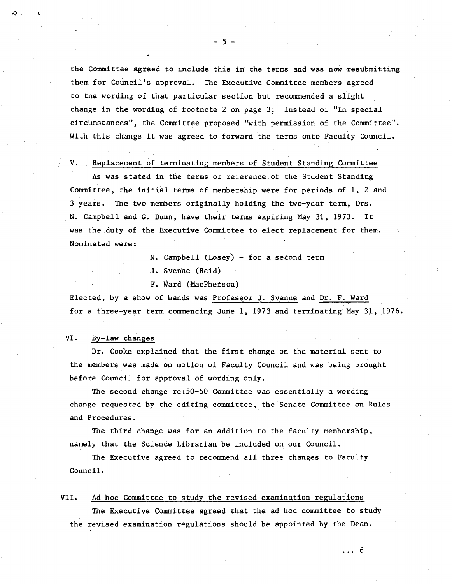the Committee agreed to include this in the terms and was now resubmitting them for Council's approval. The Executive Committee members agreed to the wording of that particular section but recommended a slight change in the wording of footnote 2 on page 3. Instead of "In special circumstances", the Committee proposed "with permission of the Committee". With this change it was agreed to forward the terms onto Faculty Council.

-5-

. Replacement of terminating members of Student Standing Committee V.

As was stated in the terms of reference of the Student Standing. Committee, the initial terms of membership were for periods of 1, 2 and 3 years. The two members originally holding the two-year term, Drs. N. Campbell and C. Dunn, have their terms expiring May 31, 1973, It was the duty of the Executive Committee to elect replacement for them. Nominated were:

N. Campbell (Losey) - for a second term

J. Svenhe (Reid)

F. Ward (MacPherson)

Elected, by a show of hands was Professor J. Svenne and Dr. F. Ward for a three-year term commencing June 1, 1973 and terminating May 31, 1976.

#### VI. By-law changes

Dr. Cooke explained that the first change on the material sent to the members was made on motion of Faculty Council and was being brought before Council for approval of wording only.

The second change re:50-50 Committee was essentially a wording change requested by the editing committee, the Senate Committee on Rules and Procedures.

The third change was for an addition to the faculty membership, namely that the Science Librarian be included on our Council.

The Executive agreed to recommend all three changes to Faculty Council.

#### Ad hoc Committee to study the revised examination regulations VII.

The Executive Committee agreed that the ad hoc committee to study the revised examination regulations should be appointed by the Dean.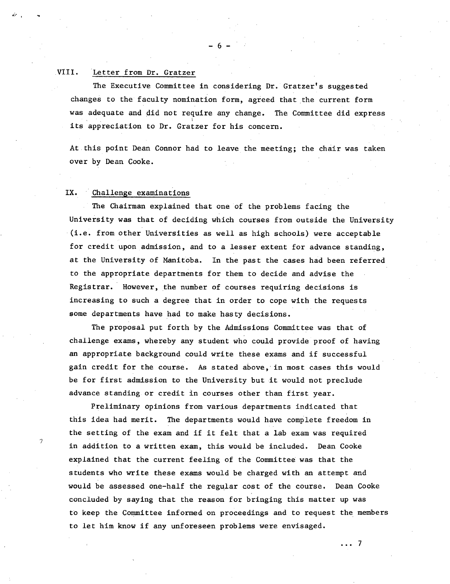#### VIII. Letter from Dr. Gratzer

The Executive Committee in considering Dr. Gratzer's suggested changes to the faculty nomination form, agreed that the current form was adequate and did not require any change. The Committee did express its appreciation to Dr. Gratzer for his concern.

 $-6$ 

At this point Dean Connor had to leave the meeting; the chair was taken over by Dean Cooke.

#### IX. Challenge examinations

The Chairman explained that one of the problems facing the University was that of deciding which courses from outside the University (i.e. from other Universities as well as high schools) were acceptable for credit upon admission, and to a lesser extent for advance standing, at the University of Manitoba. In the past the cases had been referred to the appropriate departments for them to decide and advise the Registrar. However, the number of courses requiring decisions is increasing to such a degree that in order to cope with the requests some departments have had to make hasty decisions.

The proposal put forth by the Admissions Committee was that of challenge exams, whereby any student who could provide proof of having an appropriate background could write these exams and if successful gain credit for the course. As stated above, in most cases this would be for first admission to the University but it would not preclude advance standing or credit in courses other than first year.

Preliminary opinions from various departments indicated that this idea had merit. The departments would have complete freedom in the setting of the exam and if it felt that a lab exam was required in addition to a written exam, this would be included. Dean Cooke explained that the current feeling of the Committee was that the students who write these exams would be charged with an attempt and would be assessed one-half the regular cost of the course. Dean Cooke concluded by saying that the reason for bringing this matter up was to keep the Committee informed on proceedings and to request the members to let him know if any unforeseen problems were envisaged.